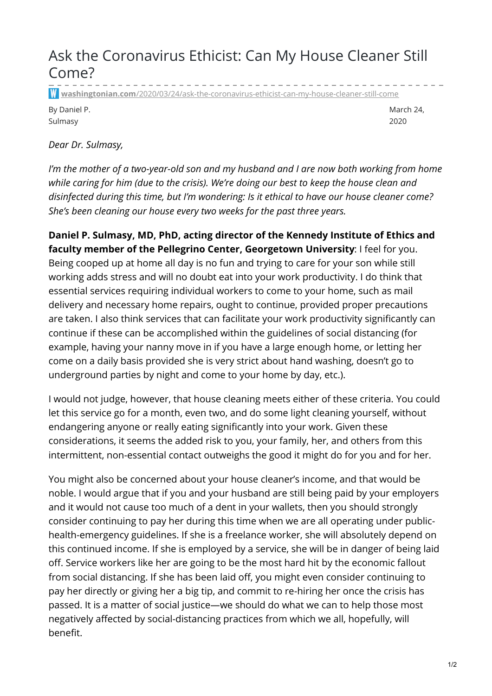## Ask the Coronavirus Ethicist: Can My House Cleaner Still Come?

**washingtonian.com**[/2020/03/24/ask-the-coronavirus-ethicist-can-my-house-cleaner-still-come](https://www.washingtonian.com/2020/03/24/ask-the-coronavirus-ethicist-can-my-house-cleaner-still-come/)

By Daniel P. Sulmasy

March 24, 2020

*Dear Dr. Sulmasy,*

*I'm the mother of a two-year-old son and my husband and I are now both working from home while caring for him (due to the crisis). We're doing our best to keep the house clean and disinfected during this time, but I'm wondering: Is it ethical to have our house cleaner come? She's been cleaning our house every two weeks for the past three years.*

**Daniel P. Sulmasy, MD, PhD, acting director of the Kennedy Institute of Ethics and faculty member of the Pellegrino Center, Georgetown University**: I feel for you. Being cooped up at home all day is no fun and trying to care for your son while still working adds stress and will no doubt eat into your work productivity. I do think that essential services requiring individual workers to come to your home, such as mail delivery and necessary home repairs, ought to continue, provided proper precautions are taken. I also think services that can facilitate your work productivity significantly can continue if these can be accomplished within the guidelines of social distancing (for example, having your nanny move in if you have a large enough home, or letting her come on a daily basis provided she is very strict about hand washing, doesn't go to underground parties by night and come to your home by day, etc.).

I would not judge, however, that house cleaning meets either of these criteria. You could let this service go for a month, even two, and do some light cleaning yourself, without endangering anyone or really eating significantly into your work. Given these considerations, it seems the added risk to you, your family, her, and others from this intermittent, non-essential contact outweighs the good it might do for you and for her.

You might also be concerned about your house cleaner's income, and that would be noble. I would argue that if you and your husband are still being paid by your employers and it would not cause too much of a dent in your wallets, then you should strongly consider continuing to pay her during this time when we are all operating under publichealth-emergency guidelines. If she is a freelance worker, she will absolutely depend on this continued income. If she is employed by a service, she will be in danger of being laid off. Service workers like her are going to be the most hard hit by the economic fallout from social distancing. If she has been laid off, you might even consider continuing to pay her directly or giving her a big tip, and commit to re-hiring her once the crisis has passed. It is a matter of social justice—we should do what we can to help those most negatively affected by social-distancing practices from which we all, hopefully, will benefit.